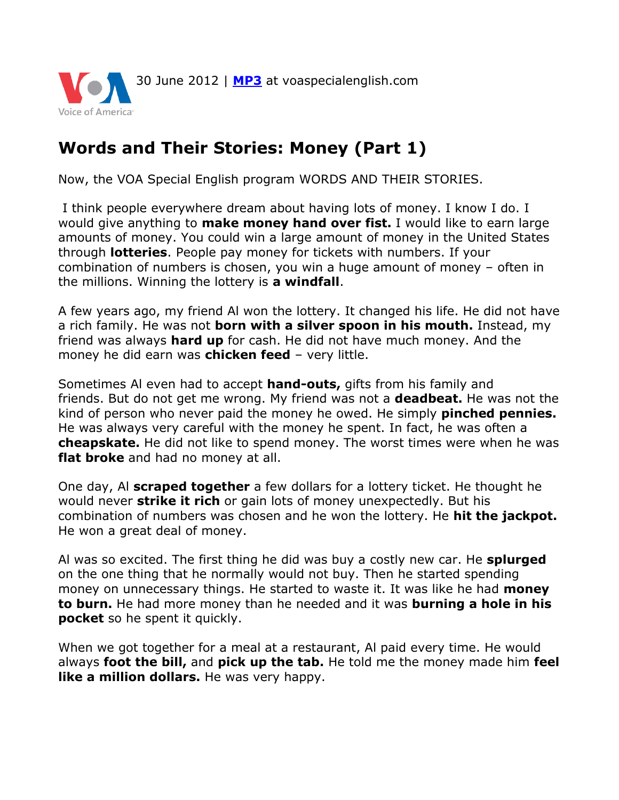

## **Words and Their Stories: Money (Part 1)**

Now, the VOA Special English program WORDS AND THEIR STORIES.

I think people everywhere dream about having lots of money. I know I do. I would give anything to **make money hand over fist.** I would like to earn large amounts of money. You could win a large amount of money in the United States through **lotteries**. People pay money for tickets with numbers. If your combination of numbers is chosen, you win a huge amount of money – often in the millions. Winning the lottery is **a windfall**.

A few years ago, my friend Al won the lottery. It changed his life. He did not have a rich family. He was not **born with a silver spoon in his mouth.** Instead, my friend was always **hard up** for cash. He did not have much money. And the money he did earn was **chicken feed** – very little.

Sometimes Al even had to accept **hand-outs,** gifts from his family and friends. But do not get me wrong. My friend was not a **deadbeat.** He was not the kind of person who never paid the money he owed. He simply **pinched pennies.**  He was always very careful with the money he spent. In fact, he was often a **cheapskate.** He did not like to spend money. The worst times were when he was **flat broke** and had no money at all.

One day, Al **scraped together** a few dollars for a lottery ticket. He thought he would never **strike it rich** or gain lots of money unexpectedly. But his combination of numbers was chosen and he won the lottery. He **hit the jackpot.**  He won a great deal of money.

Al was so excited. The first thing he did was buy a costly new car. He **splurged**  on the one thing that he normally would not buy. Then he started spending money on unnecessary things. He started to waste it. It was like he had **money to burn.** He had more money than he needed and it was **burning a hole in his pocket** so he spent it quickly.

When we got together for a meal at a restaurant, Al paid every time. He would always **foot the bill,** and **pick up the tab.** He told me the money made him **feel like a million dollars.** He was very happy.